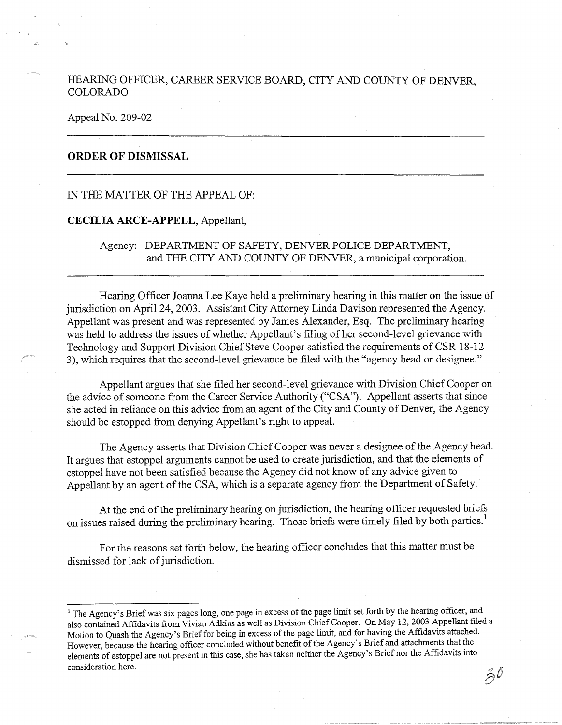## HEARING OFFICER, CAREER SERVICE BOARD, CITY AND COUNTY OF DENVER, COLORADO

#### Appeal No. 209-02

# **ORDER OF DISMISSAL**

## IN THE MATTER OF THE APPEAL OF:

### **CECILIA ARCE-APPELL,** Appellant,

Agency: DEPARTMENT OF SAFETY, DENVER POLICE DEPARTMENT, and THE CITY AND COUNTY OF DENVER, a municipal corporation.

Hearing Officer Joanna Lee Kaye held a preliminary hearing in this matter on the issue of jurisdiction on April 24, 2003. Assistant City Attorney Linda Davison represented the Agency. Appellant was present and was represented by James Alexander, Esq. The preliminary hearing was held to address the issues of whether Appellant's filing of her second-level grievance with Technology and Support Division Chief Steve Cooper satisfied the requirements of CSR 18-12 3), which requires that the second-level grievance be filed with the "agency head or designee."

Appellant argues that she filed her second-level grievance with Division Chief Cooper on the advice of someone from the Career Service Authority ("CSA"). Appellant asserts that since she acted in reliance on this advice from an agent of the City and County of Denver, the Agency should be estopped from denying Appellant's right to appeal.

The Agency asserts that Division Chief Cooper was never a designee of the Agency head. It argues that estoppel arguments cannot be used to create jurisdiction, and that the elements of estoppel have not been satisfied because the Agency did not know of any advice given to Appellant by an agent of the CSA, which is a separate agency from the Department of Safety.

At the end of the preliminary hearing on jurisdiction, the hearing officer requested briefs on issues raised during the preliminary hearing. Those briefs were timely filed by both parties.<sup>1</sup>

For the reasons set forth below, the hearing officer concludes that this matter must be dismissed for lack of jurisdiction.

<sup>&</sup>lt;sup>1</sup> The Agency's Brief was six pages long, one page in excess of the page limit set forth by the hearing officer, and also contained Affidavits from Vivian Adkins as well as Division Chief Cooper. On May 12, 2003 Appellant filed a Motion to Quash the Agency's Brief for being in excess of the page limit, and for having the Affidavits attached. However, because the hearing officer concluded without benefit of the Agency's Brief and attachments that the elements of estoppel are not present in this case, she has taken neither the Agency's Brief nor the Affidavits into consideration here.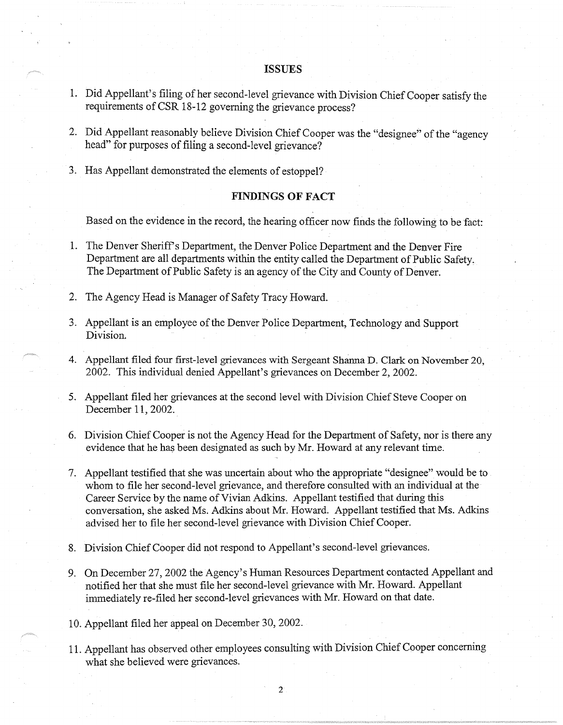# **ISSUES**

- 1. Did Appellant's filing of her second-level grievance with Division Chief Cooper satisfy the requirements of CSR 18-12 governing the grievance process?
- 2. Did Appellant reasonably believe Division Chief Cooper was the "designee'' of the "agency head" for purposes of filing a second-level grievance?
- 3. Has Appellant demonstrated the elements of estoppel?

## **FINDINGS OF FACT**

Based on the evidence in the record, the hearing officer now finds the following to be fact:

- 1. The Denver Sheriffs Department, the Denver Police Department and the Denver Fire Department are all departments within the entity called the Department of Public Safety, The Department of Public Safety is an agency of the City and County of Denver.
- 2. The Agency Head is Manager of Safety Tracy Howard.
- 3. Appellant is an employee of the Denver Police Department, Technology and Support Division.
- 4. Appellant filed four first-level grievances with Sergeant Shanna D. Clark on November 20, 2002. This individual denied Appellant's grievances on December 2, 2002.
- 5. Appellant filed her grievances at the second level with Division Chief Steve Cooper on December 11, 2002.
- 6. Division Chief Cooper is not the Agency Head for the Department of Safety, nor is there any evidence that he has been designated as such by Mr. Howard at any relevant time.
- 7. Appellant testified that she was uncertain about who the appropriate "designee" would be to whom to file her second-level grievance, and therefore consulted with an individual at the Career Service by the name of Vivian Adkins. Appellant testified that during this conversation, she asked Ms. Adkins about Mr. Howard. Appellant testified that Ms. Adkins advised her to file her second-level grievance with Division Chief Cooper.
- 8. Division Chief Cooper did not respond to Appellant's second-level grievances.
- 9. On December 27, 2002 the Agency's Human Resources Department contacted Appellant and notified her that she must file her second-level grievance with Mr. Howard. Appellant immediately re-filed her second-level grievances with Mr. Howard on that date.
- 10. Appellant filed her appeal on December 30, 2002.
- 11. Appellant has observed other employees consulting with Division Chief Cooper concerning what she believed were grievances.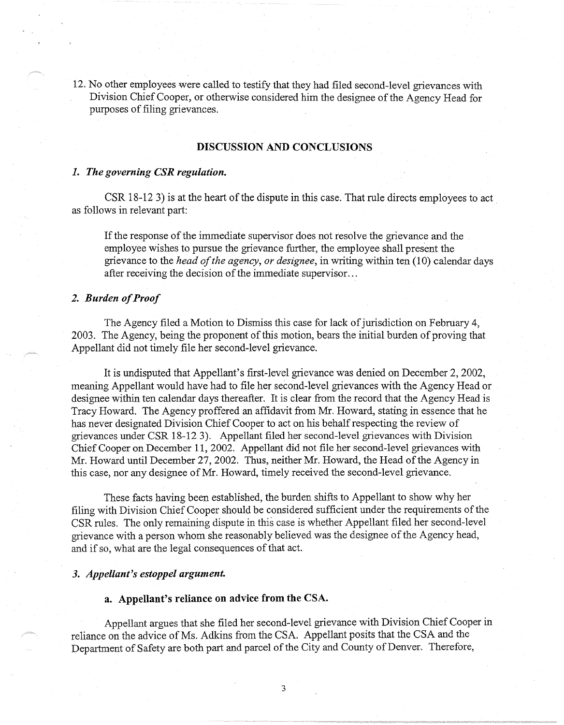12. No other employees were called to testify that they had filed second-level grievances with Division Chief Cooper, or otherwise considered him the designee of the Agency Head for purposes of filing grievances.

### **DISCUSSION AND CONCLUSIONS**

#### *1. The governing CSR regulation.*

CSR 18-12 3) is at the heart of the dispute in this case. That rule directs employees to act as follows in relevant part:

If the response of the immediate supervisor does not resolve the grievance and the employee wishes to pursue the grievance further, the employee shall present the grievance to the *head of the agency, or designee,* in writing within ten (10) calendar days after receiving the decision of the immediate supervisor ...

### *2. Burden of Proof*

The Agency filed a Motion to Dismiss this case for lack of jurisdiction on February 4, 2003. The Agency, being the proponent of this motion, bears the initial burden of proving that Appellant did not timely file her second-level grievance.

It is undisputed that Appellant's first-level grievance was denied on December 2, 2002, meaning Appellant would have had to file her second-level grievances with the Agency Head or designee within ten calendar days thereafter. It is clear from the record that the Agency Head is Tracy Howard. The Agency proffered an affidavit from Mr. Howard, stating in essence that he has never designated Division Chief Cooper to act on his behalf respecting the review of grievances under CSR 18-12 3). Appellant filed her second-level grievances with Division Chief Cooper on December 11, 2002. Appellant did not file her second-level grievances with Mr. Howard until December 27, 2002. Thus, neither Mr. Howard, the Head of the Agency in this case, nor any designee of Mr. Howard, timely received the second-level grievance.

These facts having been established, the burden shifts to Appellant to show why her filing with Division Chief Cooper should be considered sufficient under the requirements of the CSR rules. The only remaining dispute in this case is whether Appellant filed her second-level grievance with a person whom she reasonably believed was the designee of the Agency head, and if so, what are the legal consequences of that act.

### *3. Appellant's estoppel argument.*

#### **a. Appellant's reliance on advice from the CSA.**

Appellant argues that she filed her second-level grievance with Division Chief Cooper in reliance on the advice of Ms. Adkins from the CSA. Appellant posits that the CSA and the Department of Safety are both part and parcel of the City and County of Denver. Therefore,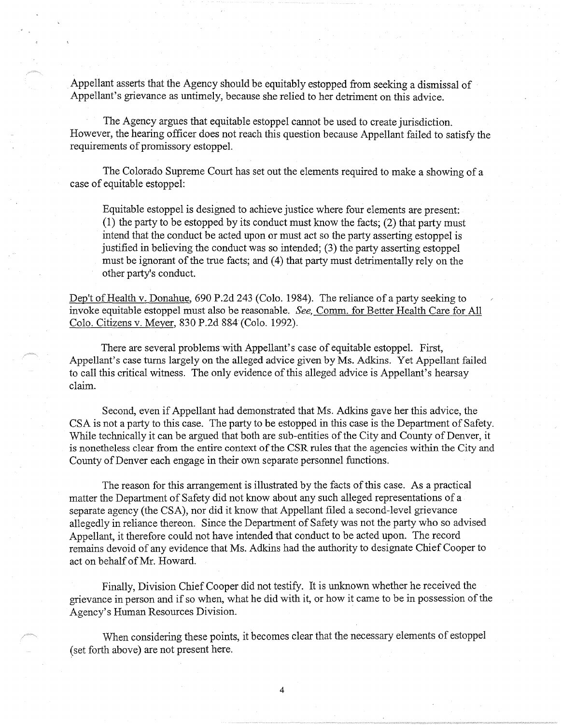Appellant asserts that the Agency should be equitably estopped from seeking a dismissal of Appellant's grievance as untimely, because she relied to her detriment on this advice.

The Agency argues that equitable estoppel cannot be used to create jurisdiction. However, the hearing officer does not reach this question because Appellant failed to satisfy the requirements of promissory estoppel.

The Colorado Supreme Court has set out the elements required to make a showing of a case of equitable estoppel:

Equitable estoppel is designed to achieve justice where four elements are present: (1) the party to be estopped by its conduct must know the facts; (2) that party must intend that the conduct be acted upon or must act so the party asserting estoppel is justified in believing the conduct was so intended; (3) the party asserting estoppel must be ignorant of the true facts; and (4) that party must detrimentally rely on the other party's conduct.

Dep't of Health v. Donahue, 690 P.2d 243 (Colo. 1984). The reliance of a party seeking to invoke equitable estoppel must also be reasonable. *See,* Comm. for Better Health Care for All Colo. Citizens v. Meyer, 830 P.2d 884 (Colo. 1992).

There are several problems with Appellant's case of equitable estoppel. First, Appellant's case turns largely on the alleged advice given by Ms. Adkins. Yet Appellant failed to call this critical witness. The only evidence of this alleged advice is Appellant's hearsay claim.

Second, even if Appellant had demonstrated that Ms. Adkins gave her this advice, the CSA is not a party to this case. The party to be estopped in this case is the Department of Safety. While technically it can be argued that both are sub-entities of the City and County of Denver, it is nonetheless clear from the entire context of the CSR rules that the agencies within the City and County of Denver each engage in their own separate personnel functions.

The reason for this arrangement is illustrated by the facts of this case. As a practical matter the Department of Safety did not know about any such alleged representations of a separate agency (the CSA), nor did it know that Appellant filed a second-level grievance allegedly in reliance thereon. Since the Department of Safety was not the party who so advised Appellant, it therefore could not have intended that conduct to be acted upon. The record remains devoid of any evidence that Ms. Adkins had the authority to designate Chief Cooper to act on behalf of Mr. Howard.

Finally, Division Chief Cooper did not testify. It is unknown whether he received the grievance in person and if so when, what he did with it, or how it came to be in possession of the Agency's Human Resources Division.

When considering these points, it becomes clear that the necessary elements of estoppel ( set forth above) are not present here.

4